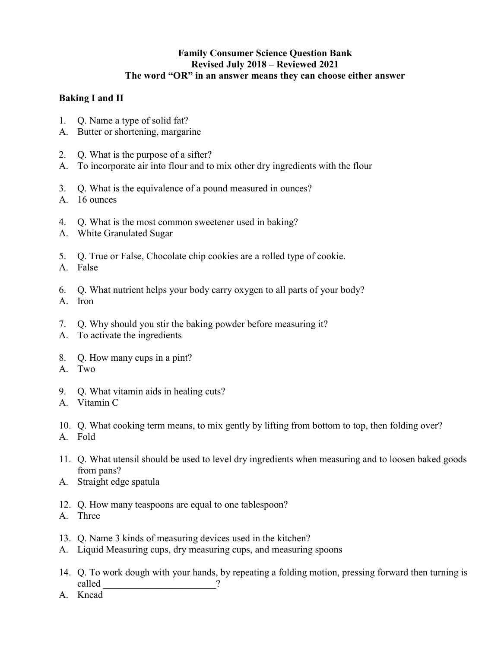## **Family Consumer Science Question Bank Revised July 2018 – Reviewed 2021 The word "OR" in an answer means they can choose either answer**

## **Baking I and II**

- 1. Q. Name a type of solid fat?
- A. Butter or shortening, margarine
- 2. Q. What is the purpose of a sifter?
- A. To incorporate air into flour and to mix other dry ingredients with the flour
- 3. Q. What is the equivalence of a pound measured in ounces?
- A. 16 ounces
- 4. Q. What is the most common sweetener used in baking?
- A. White Granulated Sugar
- 5. Q. True or False, Chocolate chip cookies are a rolled type of cookie.
- A. False
- 6. Q. What nutrient helps your body carry oxygen to all parts of your body?
- A. Iron
- 7. Q. Why should you stir the baking powder before measuring it?
- A. To activate the ingredients
- 8. Q. How many cups in a pint?
- A. Two
- 9. Q. What vitamin aids in healing cuts?
- A. Vitamin C
- 10. Q. What cooking term means, to mix gently by lifting from bottom to top, then folding over?
- A. Fold
- 11. Q. What utensil should be used to level dry ingredients when measuring and to loosen baked goods from pans?
- A. Straight edge spatula
- 12. Q. How many teaspoons are equal to one tablespoon?
- A. Three
- 13. Q. Name 3 kinds of measuring devices used in the kitchen?
- A. Liquid Measuring cups, dry measuring cups, and measuring spoons
- 14. Q. To work dough with your hands, by repeating a folding motion, pressing forward then turning is called 2
- A. Knead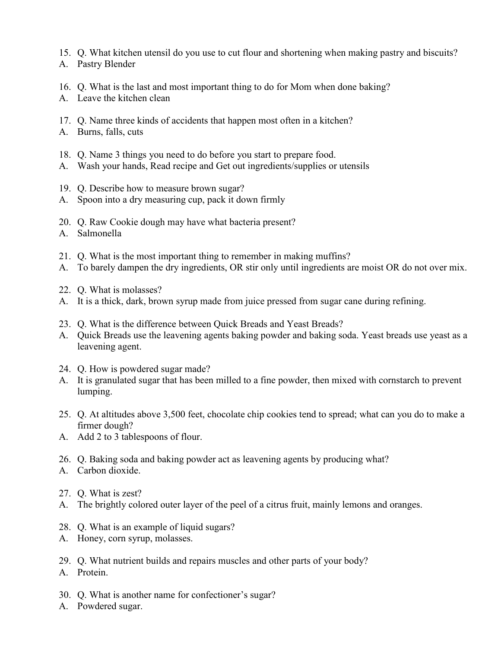- 15. Q. What kitchen utensil do you use to cut flour and shortening when making pastry and biscuits?
- A. Pastry Blender
- 16. Q. What is the last and most important thing to do for Mom when done baking?
- A. Leave the kitchen clean
- 17. Q. Name three kinds of accidents that happen most often in a kitchen?
- A. Burns, falls, cuts
- 18. Q. Name 3 things you need to do before you start to prepare food.
- A. Wash your hands, Read recipe and Get out ingredients/supplies or utensils
- 19. Q. Describe how to measure brown sugar?
- A. Spoon into a dry measuring cup, pack it down firmly
- 20. Q. Raw Cookie dough may have what bacteria present?
- A. Salmonella
- 21. Q. What is the most important thing to remember in making muffins?
- A. To barely dampen the dry ingredients, OR stir only until ingredients are moist OR do not over mix.
- 22. Q. What is molasses?
- A. It is a thick, dark, brown syrup made from juice pressed from sugar cane during refining.
- 23. Q. What is the difference between Quick Breads and Yeast Breads?
- A. Quick Breads use the leavening agents baking powder and baking soda. Yeast breads use yeast as a leavening agent.
- 24. Q. How is powdered sugar made?
- A. It is granulated sugar that has been milled to a fine powder, then mixed with cornstarch to prevent lumping.
- 25. Q. At altitudes above 3,500 feet, chocolate chip cookies tend to spread; what can you do to make a firmer dough?
- A. Add 2 to 3 tablespoons of flour.
- 26. Q. Baking soda and baking powder act as leavening agents by producing what?
- A. Carbon dioxide.
- 27. Q. What is zest?
- A. The brightly colored outer layer of the peel of a citrus fruit, mainly lemons and oranges.
- 28. Q. What is an example of liquid sugars?
- A. Honey, corn syrup, molasses.
- 29. Q. What nutrient builds and repairs muscles and other parts of your body?
- A. Protein.
- 30. Q. What is another name for confectioner's sugar?
- A. Powdered sugar.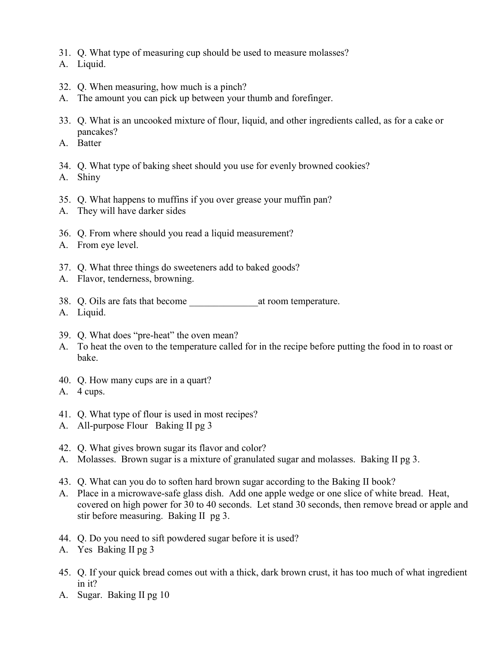- 31. Q. What type of measuring cup should be used to measure molasses?
- A. Liquid.
- 32. Q. When measuring, how much is a pinch?
- A. The amount you can pick up between your thumb and forefinger.
- 33. Q. What is an uncooked mixture of flour, liquid, and other ingredients called, as for a cake or pancakes?
- A. Batter
- 34. Q. What type of baking sheet should you use for evenly browned cookies?
- A. Shiny
- 35. Q. What happens to muffins if you over grease your muffin pan?
- A. They will have darker sides
- 36. Q. From where should you read a liquid measurement?
- A. From eye level.
- 37. Q. What three things do sweeteners add to baked goods?
- A. Flavor, tenderness, browning.
- 38. Q. Oils are fats that become at room temperature.
- A. Liquid.
- 39. Q. What does "pre-heat" the oven mean?
- A. To heat the oven to the temperature called for in the recipe before putting the food in to roast or bake.
- 40. Q. How many cups are in a quart?
- A. 4 cups.
- 41. Q. What type of flour is used in most recipes?
- A. All-purpose Flour Baking II pg 3
- 42. Q. What gives brown sugar its flavor and color?
- A. Molasses. Brown sugar is a mixture of granulated sugar and molasses. Baking II pg 3.
- 43. Q. What can you do to soften hard brown sugar according to the Baking II book?
- A. Place in a microwave-safe glass dish. Add one apple wedge or one slice of white bread. Heat, covered on high power for 30 to 40 seconds. Let stand 30 seconds, then remove bread or apple and stir before measuring. Baking II pg 3.
- 44. Q. Do you need to sift powdered sugar before it is used?
- A. Yes Baking II pg 3
- 45. Q. If your quick bread comes out with a thick, dark brown crust, it has too much of what ingredient in it?
- A. Sugar. Baking II pg 10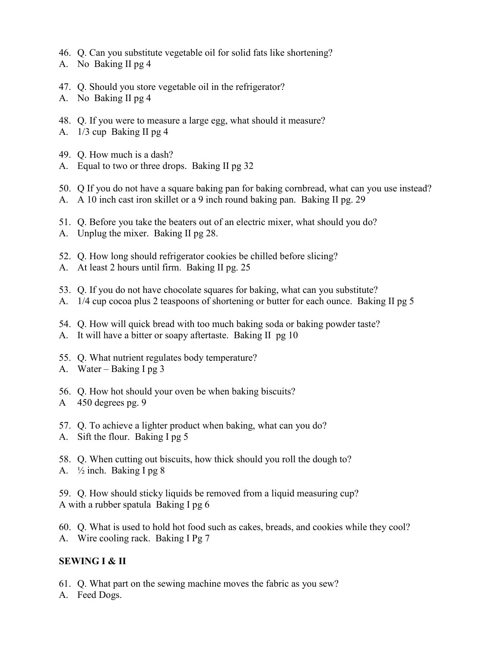- 46. Q. Can you substitute vegetable oil for solid fats like shortening?
- A. No Baking II pg 4
- 47. Q. Should you store vegetable oil in the refrigerator?
- A. No Baking II pg 4
- 48. Q. If you were to measure a large egg, what should it measure?
- A. 1/3 cup Baking II pg 4
- 49. Q. How much is a dash?
- A. Equal to two or three drops. Baking II pg 32
- 50. Q If you do not have a square baking pan for baking cornbread, what can you use instead?
- A. A 10 inch cast iron skillet or a 9 inch round baking pan. Baking II pg. 29
- 51. Q. Before you take the beaters out of an electric mixer, what should you do?
- A. Unplug the mixer. Baking II pg 28.
- 52. Q. How long should refrigerator cookies be chilled before slicing?
- A. At least 2 hours until firm. Baking II pg. 25
- 53. Q. If you do not have chocolate squares for baking, what can you substitute?
- A. 1/4 cup cocoa plus 2 teaspoons of shortening or butter for each ounce. Baking II pg 5
- 54. Q. How will quick bread with too much baking soda or baking powder taste?
- A. It will have a bitter or soapy aftertaste. Baking II pg 10
- 55. Q. What nutrient regulates body temperature?
- A. Water Baking I pg 3
- 56. Q. How hot should your oven be when baking biscuits?
- A 450 degrees pg. 9
- 57. Q. To achieve a lighter product when baking, what can you do?
- A. Sift the flour. Baking I pg 5
- 58. Q. When cutting out biscuits, how thick should you roll the dough to?
- A.  $\frac{1}{2}$  inch. Baking I pg 8

59. Q. How should sticky liquids be removed from a liquid measuring cup? A with a rubber spatula Baking I pg 6

60. Q. What is used to hold hot food such as cakes, breads, and cookies while they cool? A. Wire cooling rack. Baking I Pg 7

## **SEWING I & II**

- 61. Q. What part on the sewing machine moves the fabric as you sew?
- A. Feed Dogs.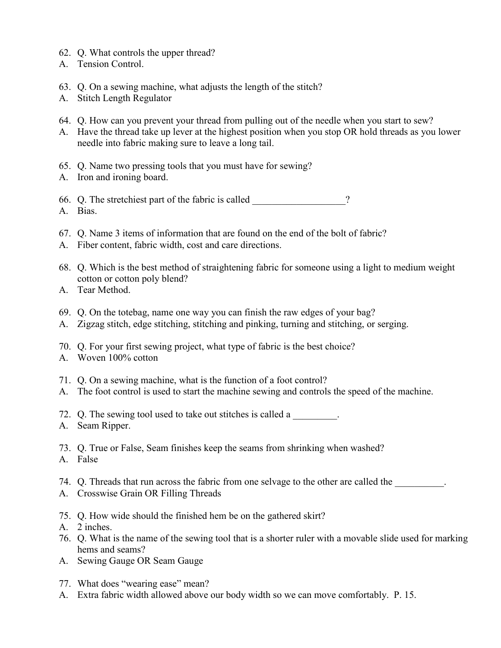- 62. Q. What controls the upper thread?
- A. Tension Control.
- 63. Q. On a sewing machine, what adjusts the length of the stitch?
- A. Stitch Length Regulator
- 64. Q. How can you prevent your thread from pulling out of the needle when you start to sew?
- A. Have the thread take up lever at the highest position when you stop OR hold threads as you lower needle into fabric making sure to leave a long tail.
- 65. Q. Name two pressing tools that you must have for sewing?
- A. Iron and ironing board.
- 66. Q. The stretchiest part of the fabric is called  $\gamma$ A. Bias.
- 67. Q. Name 3 items of information that are found on the end of the bolt of fabric?
- A. Fiber content, fabric width, cost and care directions.
- 68. Q. Which is the best method of straightening fabric for someone using a light to medium weight cotton or cotton poly blend?
- A. Tear Method.
- 69. Q. On the totebag, name one way you can finish the raw edges of your bag?
- A. Zigzag stitch, edge stitching, stitching and pinking, turning and stitching, or serging.
- 70. Q. For your first sewing project, what type of fabric is the best choice?
- A. Woven 100% cotton
- 71. Q. On a sewing machine, what is the function of a foot control?
- A. The foot control is used to start the machine sewing and controls the speed of the machine.
- 72. Q. The sewing tool used to take out stitches is called a  $\blacksquare$
- A. Seam Ripper.
- 73. Q. True or False, Seam finishes keep the seams from shrinking when washed?
- A. False
- 74. Q. Threads that run across the fabric from one selvage to the other are called the
- A. Crosswise Grain OR Filling Threads
- 75. Q. How wide should the finished hem be on the gathered skirt?
- A. 2 inches.
- 76. Q. What is the name of the sewing tool that is a shorter ruler with a movable slide used for marking hems and seams?
- A. Sewing Gauge OR Seam Gauge
- 77. What does "wearing ease" mean?
- A. Extra fabric width allowed above our body width so we can move comfortably. P. 15.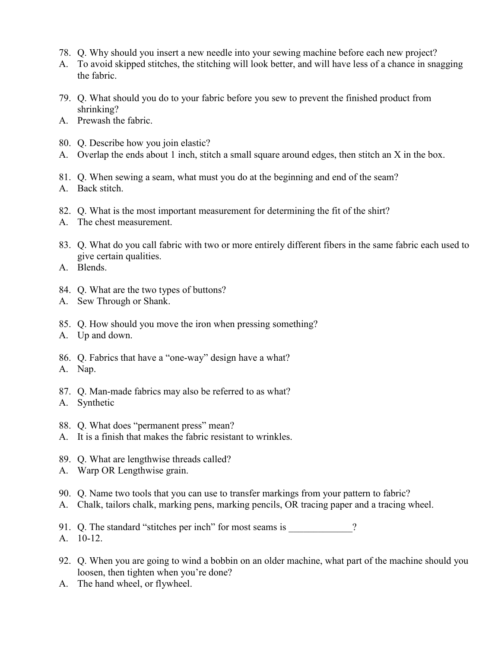- 78. Q. Why should you insert a new needle into your sewing machine before each new project?
- A. To avoid skipped stitches, the stitching will look better, and will have less of a chance in snagging the fabric.
- 79. Q. What should you do to your fabric before you sew to prevent the finished product from shrinking?
- A. Prewash the fabric.
- 80. Q. Describe how you join elastic?
- A. Overlap the ends about 1 inch, stitch a small square around edges, then stitch an X in the box.
- 81. Q. When sewing a seam, what must you do at the beginning and end of the seam?
- A. Back stitch.
- 82. Q. What is the most important measurement for determining the fit of the shirt?
- A. The chest measurement.
- 83. Q. What do you call fabric with two or more entirely different fibers in the same fabric each used to give certain qualities.

A. Blends.

- 84. Q. What are the two types of buttons?
- A. Sew Through or Shank.
- 85. Q. How should you move the iron when pressing something?
- A. Up and down.
- 86. Q. Fabrics that have a "one-way" design have a what?
- A. Nap.
- 87. Q. Man-made fabrics may also be referred to as what?
- A. Synthetic
- 88. Q. What does "permanent press" mean?
- A. It is a finish that makes the fabric resistant to wrinkles.
- 89. Q. What are lengthwise threads called?
- A. Warp OR Lengthwise grain.
- 90. Q. Name two tools that you can use to transfer markings from your pattern to fabric?
- A. Chalk, tailors chalk, marking pens, marking pencils, OR tracing paper and a tracing wheel.
- 91. Q. The standard "stitches per inch" for most seams is \_\_\_\_\_\_\_\_\_\_\_\_? A. 10-12.
- 92. Q. When you are going to wind a bobbin on an older machine, what part of the machine should you loosen, then tighten when you're done?
- A. The hand wheel, or flywheel.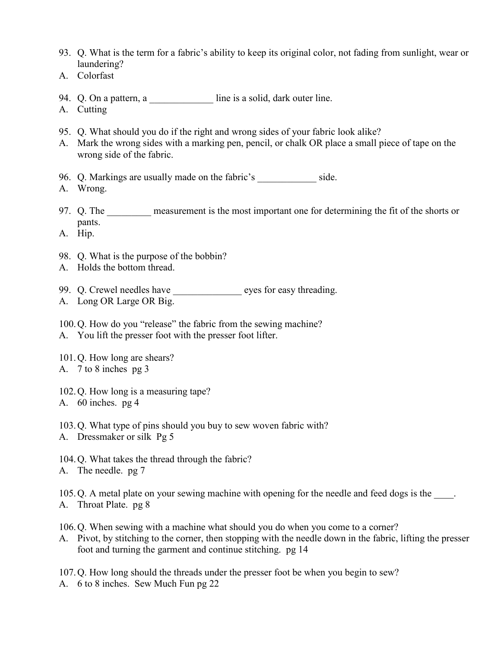- 93. Q. What is the term for a fabric's ability to keep its original color, not fading from sunlight, wear or laundering?
- A. Colorfast
- 94. Q. On a pattern, a contract a line is a solid, dark outer line.
- A. Cutting
- 95. Q. What should you do if the right and wrong sides of your fabric look alike?
- A. Mark the wrong sides with a marking pen, pencil, or chalk OR place a small piece of tape on the wrong side of the fabric.
- 96. Q. Markings are usually made on the fabric's side.
- A. Wrong.
- 97. Q. The measurement is the most important one for determining the fit of the shorts or pants.
- A. Hip.
- 98. Q. What is the purpose of the bobbin?
- A. Holds the bottom thread.
- 99. Q. Crewel needles have \_\_\_\_\_\_\_\_\_\_\_\_\_\_\_ eyes for easy threading.
- A. Long OR Large OR Big.
- 100.Q. How do you "release" the fabric from the sewing machine? A. You lift the presser foot with the presser foot lifter.
- 101.Q. How long are shears?
- A. 7 to 8 inches pg 3
- 102.Q. How long is a measuring tape?
- A. 60 inches. pg 4
- 103.Q. What type of pins should you buy to sew woven fabric with?
- A. Dressmaker or silk Pg 5
- 104.Q. What takes the thread through the fabric?
- A. The needle. pg 7

105. Q. A metal plate on your sewing machine with opening for the needle and feed dogs is the  $\qquad \qquad$ .

A. Throat Plate. pg 8

106.Q. When sewing with a machine what should you do when you come to a corner?

A. Pivot, by stitching to the corner, then stopping with the needle down in the fabric, lifting the presser foot and turning the garment and continue stitching. pg 14

107.Q. How long should the threads under the presser foot be when you begin to sew?

A. 6 to 8 inches. Sew Much Fun pg 22